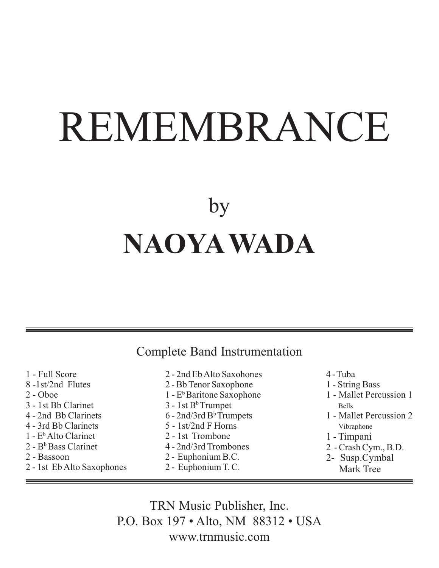# REMEMBRANCE

# **NAOYA WADA** by

## Complete Band Instrumentation

- 1 Full Score
- 8 -1st/2nd Flutes
- 2 Oboe
- 3 1st Bb Clarinet
- 4 2nd Bb Clarinets
- 4 3rd Bb Clarinets
- 1 EbAlto Clarinet
- $2 B<sup>b</sup>$  Bass Clarinet
- 2 Bassoon
- 2 1st Eb Alto Saxophones
- 2 2nd Eb Alto Saxohones
- 2 Bb Tenor Saxophone
- $1 E<sup>b</sup>$  Baritone Saxophone
- $3 1$ st B<sup>b</sup>Trumpet
- $6 2$ nd/3rd B<sup>b</sup>Trumpets
- 5 1st/2nd F Horns
- 2 1st Trombone
- 4 2nd/3rd Trombones
- 2 Euphonium B.C.
- 2 Euphonium T. C.
- 4 Tuba
- 1 String Bass
- 1 Mallet Percussion 1 Bells
- 1 Mallet Percussion 2 Vibraphone
- 1 Timpani
- 2 Crash Cym., B.D.
- 2- Susp.Cymbal Mark Tree

TRN Music Publisher, Inc. P.O. Box 197 • Alto, NM 88312 • USA www.trnmusic.com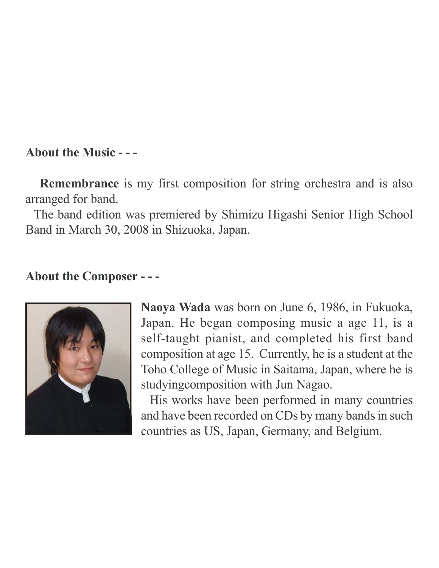### **About the Music - - -**

 **Remembrance** is my first composition for string orchestra and is also arranged for band.

 The band edition was premiered by Shimizu Higashi Senior High School Band in March 30, 2008 in Shizuoka, Japan.

#### **About the Composer - - -**



**Naoya Wada** was born on June 6, 1986, in Fukuoka, Japan. He began composing music a age 11, is a self-taught pianist, and completed his first band composition at age 15. Currently, he is a student at the Toho College of Music in Saitama, Japan, where he is studyingcomposition with Jun Nagao.

 His works have been performed in many countries and have been recorded on CDs by many bands in such countries as US, Japan, Germany, and Belgium.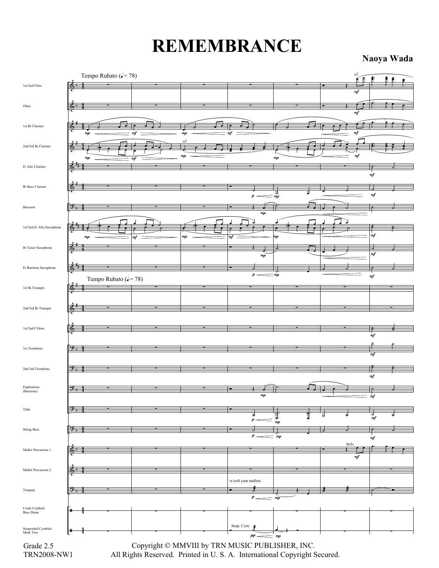**REMEMBRANCE**

**Naoya Wada**

|                                   | Tempo Rubato ( $= 78$ )   |                                                                                                                             |               |                                         |                    | a2               |  |
|-----------------------------------|---------------------------|-----------------------------------------------------------------------------------------------------------------------------|---------------|-----------------------------------------|--------------------|------------------|--|
| 1st/2nd Flute                     | 6                         |                                                                                                                             |               |                                         |                    | m f              |  |
| Oboe                              |                           |                                                                                                                             |               |                                         |                    | m f              |  |
| 1st B <sub>b</sub> Clarinet       | mp                        | m                                                                                                                           | mp            |                                         |                    | mf               |  |
| 2nd/3rd B» Clarinet               |                           |                                                                                                                             | a2<br>$_{mp}$ |                                         |                    | mf               |  |
| E» Alto Clarinet                  | mp                        | mf                                                                                                                          |               |                                         | $\it mp$           | m f              |  |
| B <sub>b</sub> Bass Clarinet      |                           |                                                                                                                             |               | $\boldsymbol{p}$                        | ₹<br>$=$ mp        | mf               |  |
| Bassoon                           | 9                         |                                                                                                                             |               | $\it mp$                                |                    |                  |  |
| 1st/2nd E> Alto Saxophone         | 6<br>mp                   | тf                                                                                                                          | mp            |                                         | mm                 | mf               |  |
| B <sub>b</sub> Tenor Saxophone    |                           |                                                                                                                             |               | $\mathfrak{m}p$                         |                    | mf               |  |
| E> Baritone Saxophone             | 6                         |                                                                                                                             |               | $p \equiv p$                            |                    | m f              |  |
| 1st B <sub>b</sub> Trumpet        | Tempo Rubato ( $J = 78$ ) |                                                                                                                             |               |                                         |                    |                  |  |
| 2nd/3rd B <sup>}</sup> Trumpet    |                           |                                                                                                                             |               |                                         |                    |                  |  |
| 1st/2nd F Horn                    |                           |                                                                                                                             |               |                                         |                    | mf               |  |
| 1st Trombone                      | 2.                        |                                                                                                                             |               |                                         |                    | m f              |  |
| 2nd/3rd Trombone                  | 9-,                       |                                                                                                                             |               |                                         |                    | $m\!f$           |  |
| Euphonium<br>(Baritone)           | $9 - 4$                   |                                                                                                                             |               | $\mathfrak{m}p$                         |                    | m f              |  |
| Tuba                              | $2^+$                     |                                                                                                                             |               |                                         | J.                 | m f              |  |
| <b>String Bass</b>                | $2+$                      |                                                                                                                             |               | $\boldsymbol{p}$<br>$\boldsymbol{p}$    | $\it mp$<br>$=$ mp | m f              |  |
| Mallet Percussion 1               |                           |                                                                                                                             |               |                                         |                    | Bells<br>≥<br>mf |  |
| Mallet Percussion 2               |                           |                                                                                                                             |               |                                         |                    |                  |  |
| Timpani                           |                           |                                                                                                                             |               | w/soft yarn mallets<br>$\boldsymbol{p}$ |                    |                  |  |
| Crash Cymbals<br><b>Bass Drum</b> |                           |                                                                                                                             |               |                                         | $=$ mp             |                  |  |
| Suspended Cymbals<br>Mark Tree    |                           |                                                                                                                             |               | Susp. Cym.<br>$pp-$<br>$=$ mp           |                    |                  |  |
| Grade 2.5<br>TRN2008-NW1          |                           | Copyright © MMVIII by TRN MUSIC PUBLISHER, INC.<br>All Rights Reserved. Printed in U.S. A. International Copyright Secured. |               |                                         |                    |                  |  |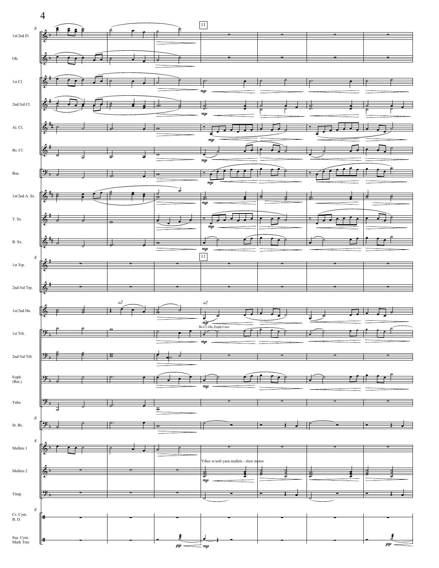